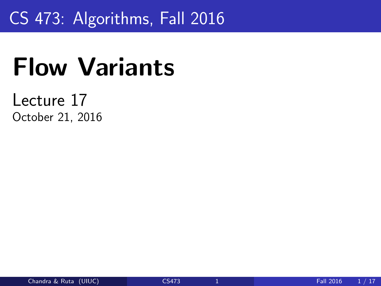### <span id="page-0-0"></span>CS 473: Algorithms, Fall 2016

# Flow Variants

#### Lecture 17 October 21, 2016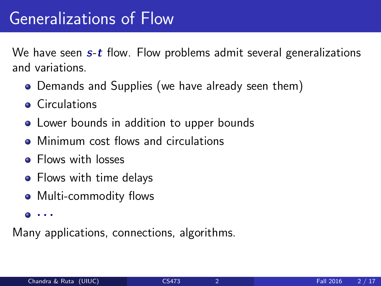We have seen  $s$ -t flow. Flow problems admit several generalizations and variations.

- Demands and Supplies (we have already seen them)
- **Circulations**
- Lower bounds in addition to upper bounds
- Minimum cost flows and circulations
- Flows with losses
- Flows with time delays
- Multi-commodity flows
- $\bullet \cdot \cdot \cdot$

Many applications, connections, algorithms.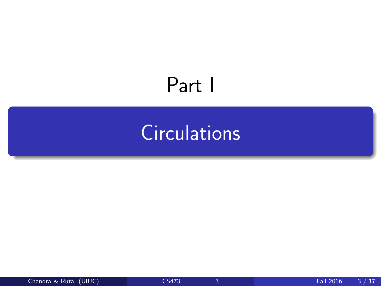## <span id="page-2-0"></span>Part I

## **[Circulations](#page-2-0)**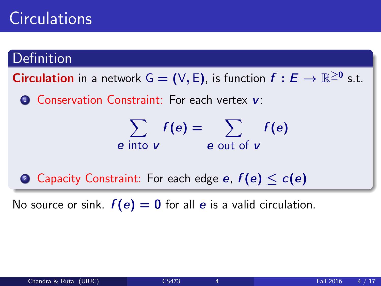### **Circulations**

#### Definition

**Circulation** in a network  $G = (V, E)$ , is function  $f : E \to \mathbb{R}^{\geq 0}$  s.t.

**1 Conservation Constraint: For each vertex v:** 

$$
\sum_{e \text{ into } v} f(e) = \sum_{e \text{ out of } v} f(e)
$$

**2** Capacity Constraint: For each edge *e*,  $f(e) \leq c(e)$ 

No source or sink.  $f(e) = 0$  for all e is a valid circulation.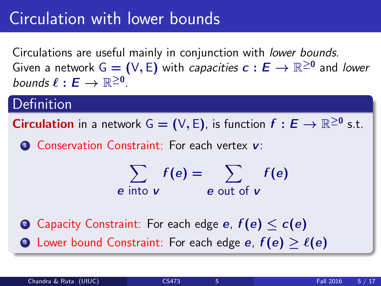### Circulation with lower bounds

Circulations are useful mainly in conjunction with lower bounds. Given a network G  $=(\vee,\varepsilon)$  with *capacities*  $c:E\to\mathbb{R}^{\geq 0}$  *and lower* bounds  $\ell : E \to \mathbb{R}^{\geq 0}$ .

#### **Definition**

**Circulation** in a network  $G = (V, E)$ , is function  $f : E \to \mathbb{R}^{\geq 0}$  s.t.

**1** Conservation Constraint: For each vertex v:

$$
\sum_{e \text{ into } v} f(e) = \sum_{e \text{ out of } v} f(e)
$$

2 Capacity Constraint: For each edge e,  $f(e) < c(e)$ **3** Lower bound Constraint: For each edge *e*,  $f(e) > \ell(e)$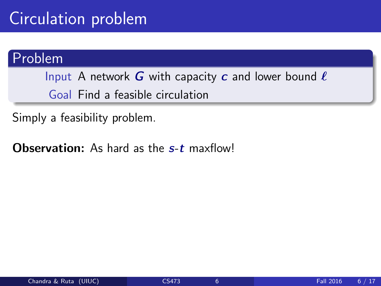### Circulation problem

#### Problem

Input A network G with capacity c and lower bound  $\ell$ Goal Find a feasible circulation

Simply a feasibility problem.

**Observation:** As hard as the s-t maxflow!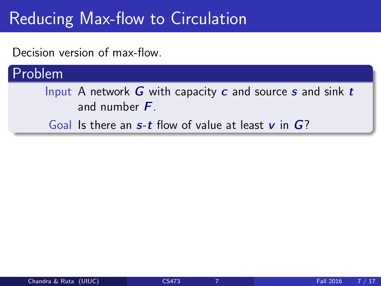### Reducing Max-flow to Circulation

Decision version of max-flow.

#### Problem

Input A network  $G$  with capacity  $c$  and source  $s$  and sink  $t$ and number  $F$ .

Goal Is there an  $s$ -t flow of value at least v in  $G$ ?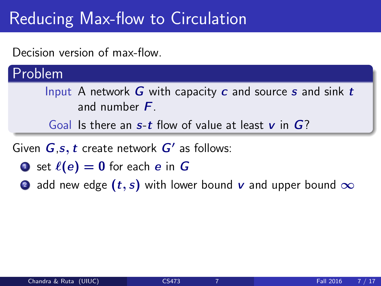### Reducing Max-flow to Circulation

Decision version of max-flow.

Problem

Input A network  $G$  with capacity  $c$  and source  $s$  and sink  $t$ and number  $F$ .

Goal Is there an  $s$ -t flow of value at least  $v$  in  $G$ ?

Given  $G$ ,s,  $t$  create network  $G'$  as follows:

- **1** set  $\ell(e) = 0$  for each e in G
- 2 add new edge  $(t, s)$  with lower bound v and upper bound  $\infty$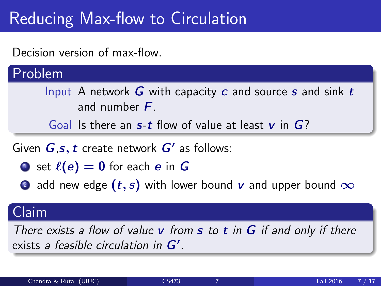### Reducing Max-flow to Circulation

Decision version of max-flow.

Problem

Input A network  $G$  with capacity  $c$  and source  $s$  and sink  $t$ and number  $F$ .

Goal Is there an  $s$ -t flow of value at least  $v$  in  $G$ ?

Given  $G$ ,s,  $t$  create network  $G'$  as follows:

- **1** set  $\ell(e) = 0$  for each e in G
- 2 add new edge  $(t, s)$  with lower bound v and upper bound  $\infty$

#### Claim

There exists a flow of value  $v$  from  $s$  to  $t$  in  $G$  if and only if there exists a feasible circulation in  $G'$ .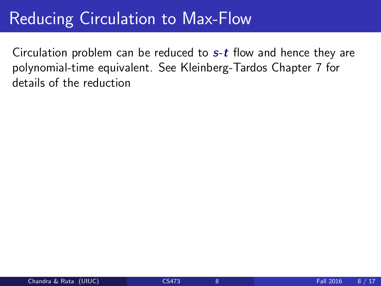#### Reducing Circulation to Max-Flow

Circulation problem can be reduced to  $s$ -t flow and hence they are polynomial-time equivalent. See Kleinberg-Tardos Chapter 7 for details of the reduction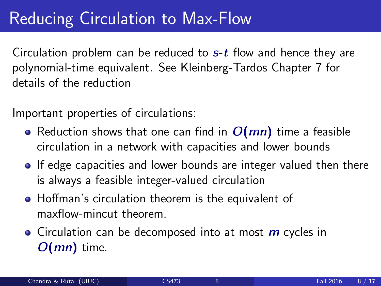### Reducing Circulation to Max-Flow

Circulation problem can be reduced to  $s$ -t flow and hence they are polynomial-time equivalent. See Kleinberg-Tardos Chapter 7 for details of the reduction

Important properties of circulations:

- Reduction shows that one can find in  $O(mn)$  time a feasible circulation in a network with capacities and lower bounds
- If edge capacities and lower bounds are integer valued then there is always a feasible integer-valued circulation
- **•** Hoffman's circulation theorem is the equivalent of maxflow-mincut theorem.
- Circulation can be decomposed into at most  $m$  cycles in  $O(mn)$  time.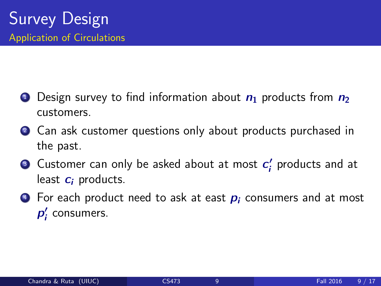- **1** Design survey to find information about  $n_1$  products from  $n_2$ customers.
- 2 Can ask customer questions only about products purchased in the past.
- **3** Customer can only be asked about at most  $c_i'$  $\frac{\prime}{\cdot}$  products and at least  $c_i$  products.
- $\bullet$  For each product need to ask at east  $p_i$  consumers and at most  $p_i'$  $\zeta$  consumers.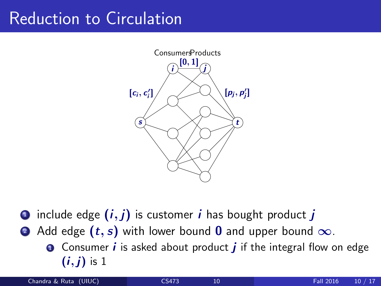#### Reduction to Circulation



- include edge  $(i, j)$  is customer i has bought product j
- 2 Add edge  $(t, s)$  with lower bound 0 and upper bound  $\infty$ .
	- **O** Consumer *i* is asked about product *j* if the integral flow on edge  $(i, j)$  is 1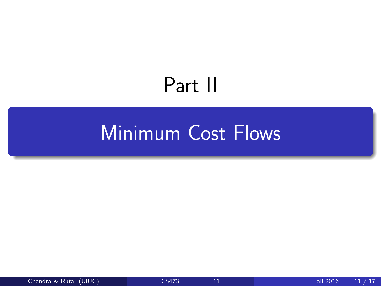## Part II

## <span id="page-13-0"></span>**[Minimum Cost Flows](#page-13-0)**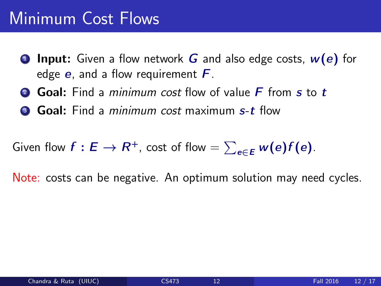#### Minimum Cost Flows

- **1 Input:** Given a flow network G and also edge costs,  $w(e)$  for edge  $e$ , and a flow requirement  $F$ .
- **2 Goal:** Find a *minimum cost* flow of value **F** from s to t
- **3 Goal:** Find a *minimum cost* maximum s-t flow

Given flow  $f: E \to R^+$ , cost of flow  $= \sum_{e \in E} w(e) f(e).$ 

Note: costs can be negative. An optimum solution may need cycles.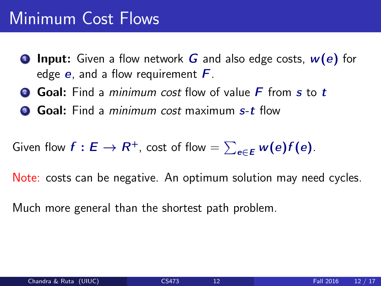#### Minimum Cost Flows

- **1 Input:** Given a flow network G and also edge costs,  $w(e)$  for edge  $e$ , and a flow requirement  $F$ .
- **2 Goal:** Find a *minimum cost* flow of value **F** from s to t
- **3 Goal:** Find a *minimum cost* maximum s-t flow

Given flow  $f: E \to R^+$ , cost of flow  $= \sum_{e \in E} w(e) f(e).$ 

Note: costs can be negative. An optimum solution may need cycles.

Much more general than the shortest path problem.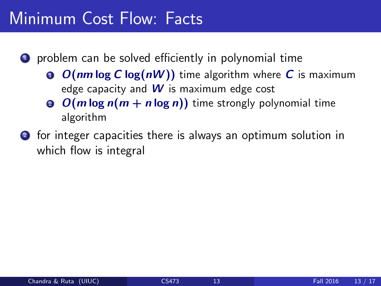#### Minimum Cost Flow: Facts

 $\bullet$  problem can be solved efficiently in polynomial time

- **0**  $O(nm \log C \log(nW))$  time algorithm where C is maximum edge capacity and  $W$  is maximum edge cost
- **2**  $O(m \log n(m + n \log n))$  time strongly polynomial time algorithm
- 2 for integer capacities there is always an optimum solution in which flow is integral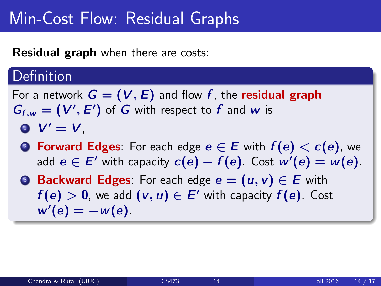#### Min-Cost Flow: Residual Graphs

Residual graph when there are costs:

#### **Definition**

For a network  $G = (V, E)$  and flow f, the **residual graph**  $G_{f,w} = (V', E')$  of G with respect to f and w is  $\bullet$   $V' = V$ .

- **2 Forward Edges:** For each edge  $e \in E$  with  $f(e) < c(e)$ , we add  $e \in E'$  with capacity  $c(e) - f(e)$ . Cost w' $(e) = w(e)$ .
- **3 Backward Edges**: For each edge  $e = (u, v) \in E$  with  $f(e) > 0$ , we add  $(v, u) \in E'$  with capacity  $f(e)$ . Cost  $w'(e) = -w(e)$ .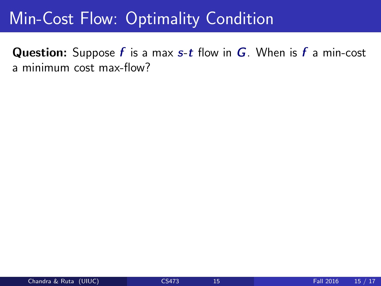#### Min-Cost Flow: Optimality Condition

**Question:** Suppose  $f$  is a max  $s$ -t flow in  $G$ . When is  $f$  a min-cost a minimum cost max-flow?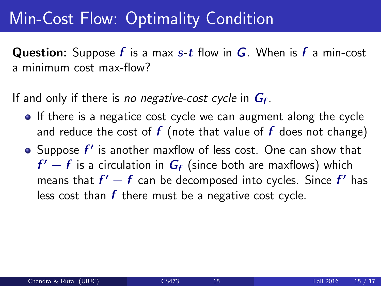#### Min-Cost Flow: Optimality Condition

**Question:** Suppose  $f$  is a max  $s$ -t flow in  $G$ . When is  $f$  a min-cost a minimum cost max-flow?

If and only if there is *no negative-cost cycle* in  $G_f$ .

- If there is a negatice cost cycle we can augment along the cycle and reduce the cost of  $f$  (note that value of  $f$  does not change)
- Suppose  $f'$  is another maxflow of less cost. One can show that  $f'-f$  is a circulation in  $G_f$  (since both are maxflows) which means that  $f'-f$  can be decomposed into cycles. Since  $f'$  has less cost than  $f$  there must be a negative cost cycle.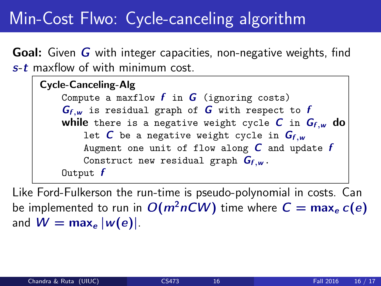### Min-Cost Flwo: Cycle-canceling algorithm

**Goal:** Given G with integer capacities, non-negative weights, find  $s$ - $t$  maxflow of with minimum cost.

Cycle-Canceling-Alg Compute a maxflow  $f$  in  $G$  (ignoring costs)  $G_{f,w}$  is residual graph of G with respect to f while there is a negative weight cycle C in  $G_{f,w}$  do let  $C$  be a negative weight cycle in  $G_{f,w}$ Augment one unit of flow along  $C$  and update  $f$ Construct new residual graph  $G_{f,w}$ . Output  $f$ 

Like Ford-Fulkerson the run-time is pseudo-polynomial in costs. Can be implemented to run in  $O(m^2nCW)$  time where  $C = \max_e c(e)$ and  $W = \max_{e} |w(e)|$ .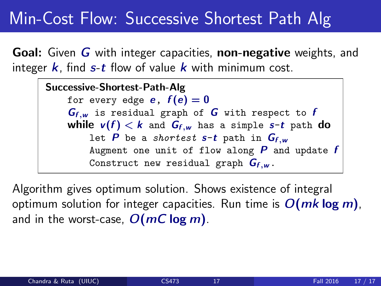#### <span id="page-21-0"></span>Min-Cost Flow: Successive Shortest Path Alg

Goal: Given G with integer capacities, non-negative weights, and integer  $k$ , find  $s$ -t flow of value  $k$  with minimum cost.

Successive-Shortest-Path-Alg for every edge **e**,  $f(e) = 0$  $G_{f,w}$  is residual graph of G with respect to f while  $v(f) < k$  and  $G_{f,w}$  has a simple s-t path do let  $P$  be a shortest  $s-t$  path in  $G_{f,w}$ Augment one unit of flow along  $P$  and update  $f$ Construct new residual graph  $G_{f,w}$ .

Algorithm gives optimum solution. Shows existence of integral optimum solution for integer capacities. Run time is  $O(mk \log m)$ , and in the worst-case,  $O(mC \log m)$ .